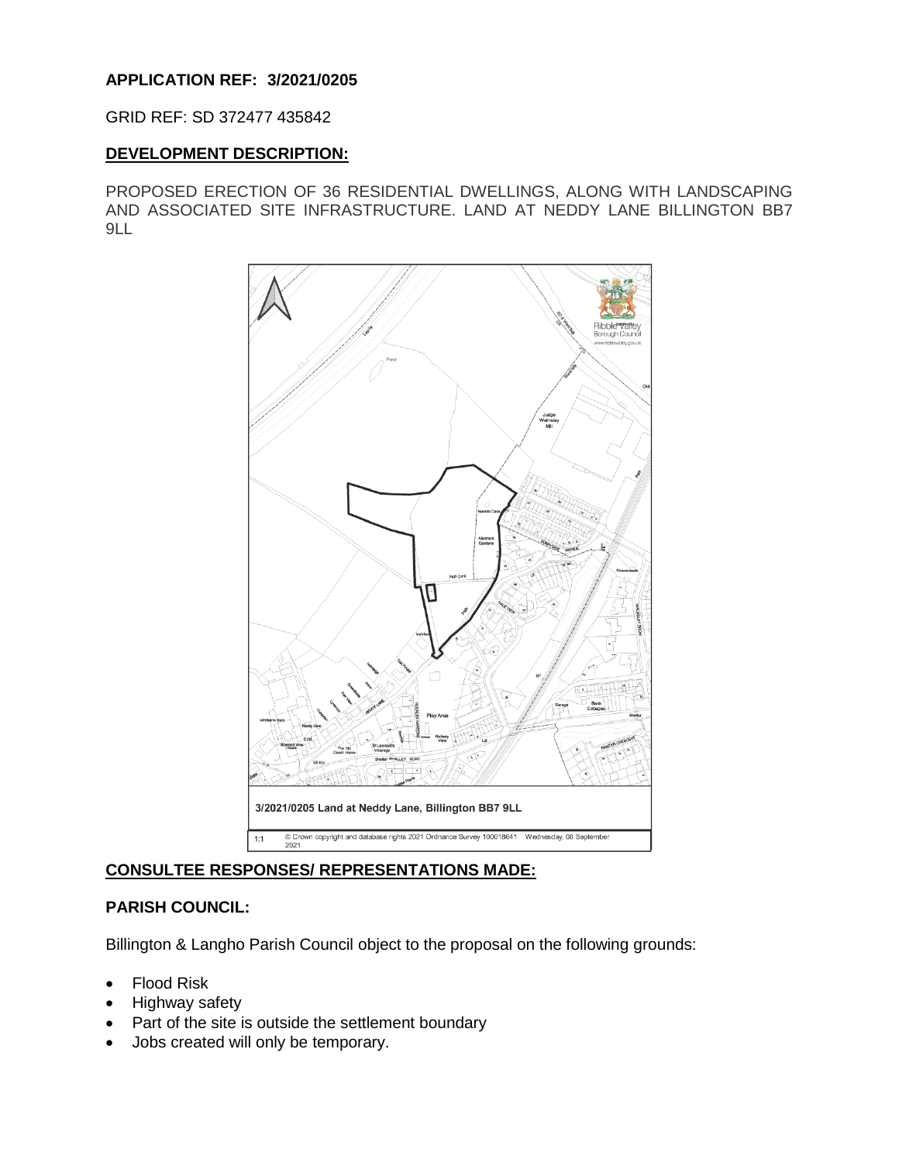## **APPLICATION REF: 3/2021/0205**

## GRID REF: SD 372477 435842

## **DEVELOPMENT DESCRIPTION:**

PROPOSED ERECTION OF 36 RESIDENTIAL DWELLINGS, ALONG WITH LANDSCAPING AND ASSOCIATED SITE INFRASTRUCTURE. LAND AT NEDDY LANE BILLINGTON BB7 9LL



# **CONSULTEE RESPONSES/ REPRESENTATIONS MADE:**

# **PARISH COUNCIL:**

Billington & Langho Parish Council object to the proposal on the following grounds:

- Flood Risk
- Highway safety
- Part of the site is outside the settlement boundary
- Jobs created will only be temporary.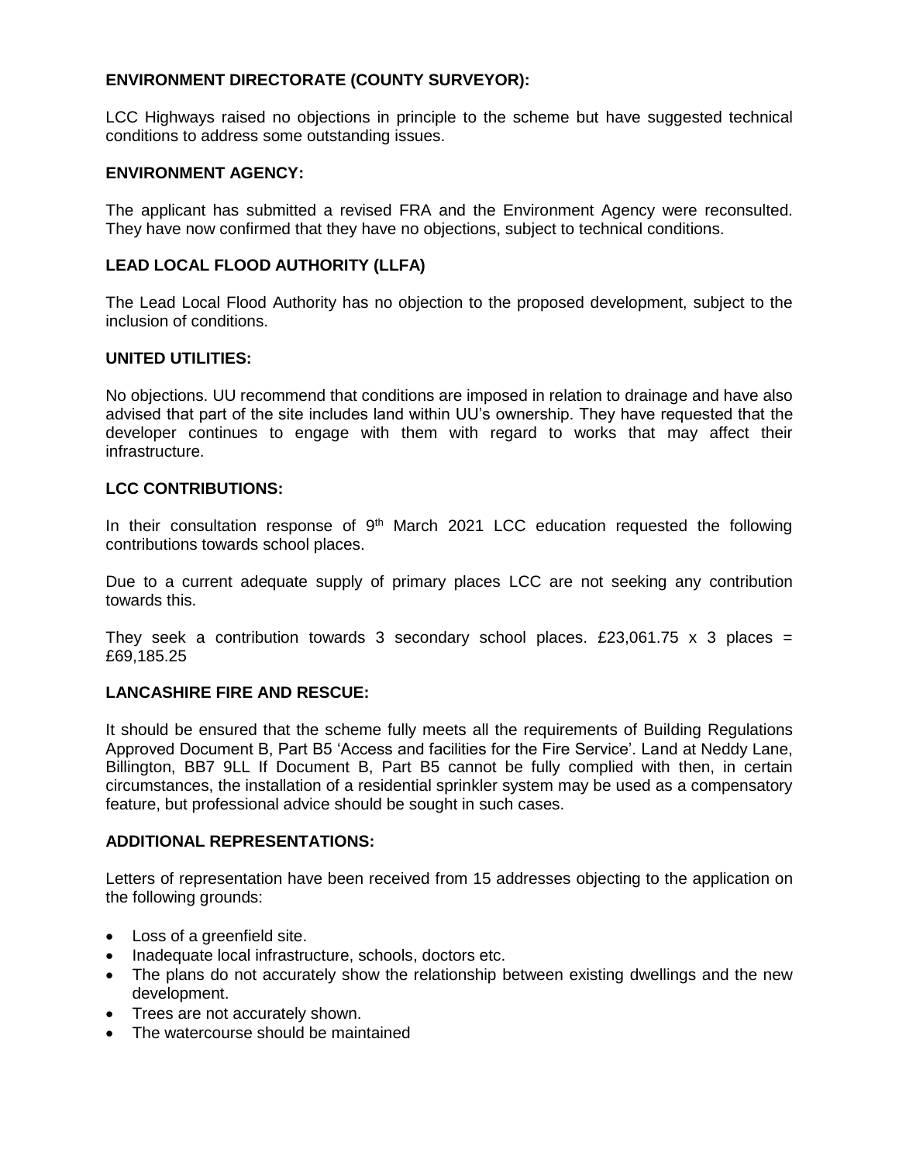## **ENVIRONMENT DIRECTORATE (COUNTY SURVEYOR):**

LCC Highways raised no objections in principle to the scheme but have suggested technical conditions to address some outstanding issues.

### **ENVIRONMENT AGENCY:**

The applicant has submitted a revised FRA and the Environment Agency were reconsulted. They have now confirmed that they have no objections, subject to technical conditions.

## **LEAD LOCAL FLOOD AUTHORITY (LLFA)**

The Lead Local Flood Authority has no objection to the proposed development, subject to the inclusion of conditions.

## **UNITED UTILITIES:**

No objections. UU recommend that conditions are imposed in relation to drainage and have also advised that part of the site includes land within UU's ownership. They have requested that the developer continues to engage with them with regard to works that may affect their infrastructure.

## **LCC CONTRIBUTIONS:**

In their consultation response of  $9<sup>th</sup>$  March 2021 LCC education requested the following contributions towards school places.

Due to a current adequate supply of primary places LCC are not seeking any contribution towards this.

They seek a contribution towards 3 secondary school places. £23,061.75 x 3 places = £69,185.25

## **LANCASHIRE FIRE AND RESCUE:**

It should be ensured that the scheme fully meets all the requirements of Building Regulations Approved Document B, Part B5 'Access and facilities for the Fire Service'. Land at Neddy Lane, Billington, BB7 9LL If Document B, Part B5 cannot be fully complied with then, in certain circumstances, the installation of a residential sprinkler system may be used as a compensatory feature, but professional advice should be sought in such cases.

#### **ADDITIONAL REPRESENTATIONS:**

Letters of representation have been received from 15 addresses objecting to the application on the following grounds:

- Loss of a greenfield site.
- Inadequate local infrastructure, schools, doctors etc.
- The plans do not accurately show the relationship between existing dwellings and the new development.
- Trees are not accurately shown.
- The watercourse should be maintained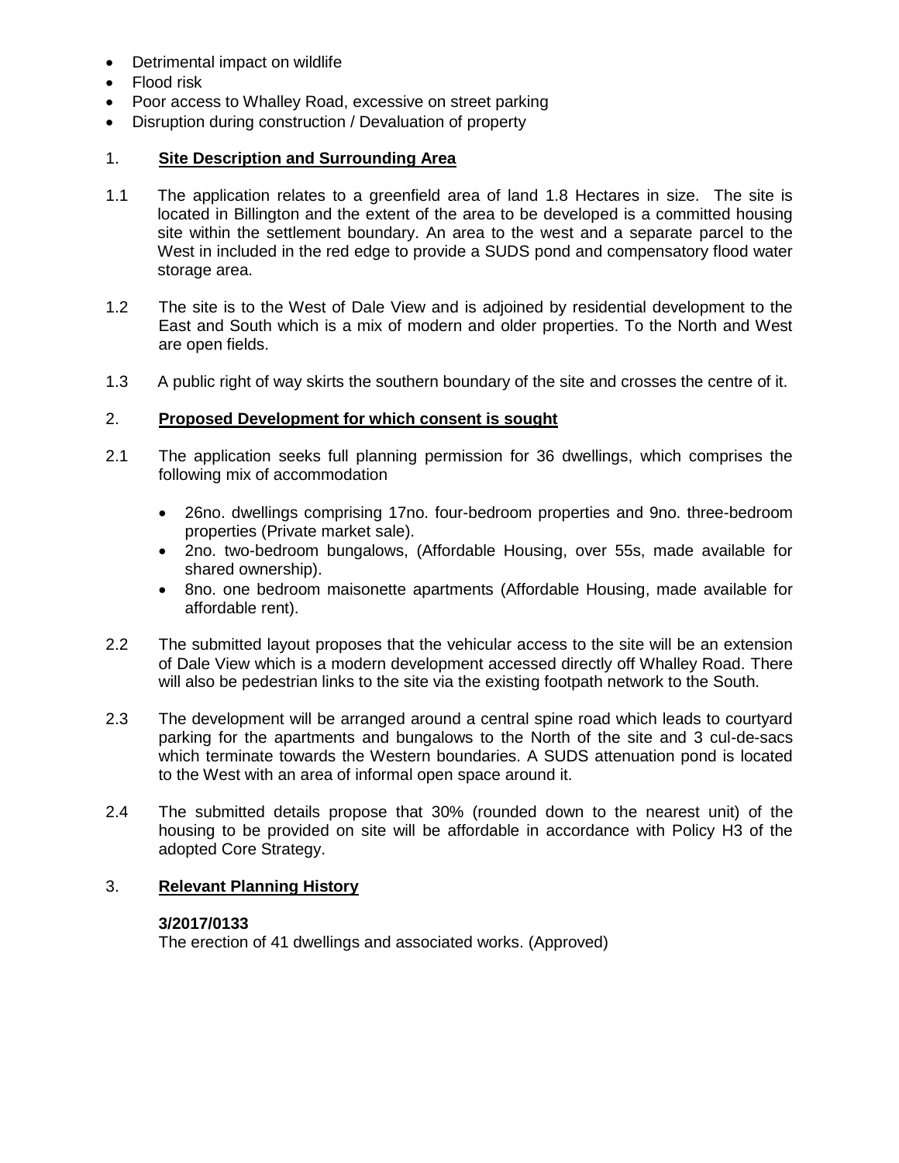- Detrimental impact on wildlife
- Flood risk
- Poor access to Whalley Road, excessive on street parking
- Disruption during construction / Devaluation of property

## 1. **Site Description and Surrounding Area**

- 1.1 The application relates to a greenfield area of land 1.8 Hectares in size. The site is located in Billington and the extent of the area to be developed is a committed housing site within the settlement boundary. An area to the west and a separate parcel to the West in included in the red edge to provide a SUDS pond and compensatory flood water storage area.
- 1.2 The site is to the West of Dale View and is adjoined by residential development to the East and South which is a mix of modern and older properties. To the North and West are open fields.
- 1.3 A public right of way skirts the southern boundary of the site and crosses the centre of it.

## 2. **Proposed Development for which consent is sought**

- 2.1 The application seeks full planning permission for 36 dwellings, which comprises the following mix of accommodation
	- 26no. dwellings comprising 17no. four-bedroom properties and 9no. three-bedroom properties (Private market sale).
	- 2no. two-bedroom bungalows, (Affordable Housing, over 55s, made available for shared ownership).
	- 8no. one bedroom maisonette apartments (Affordable Housing, made available for affordable rent).
- 2.2 The submitted layout proposes that the vehicular access to the site will be an extension of Dale View which is a modern development accessed directly off Whalley Road. There will also be pedestrian links to the site via the existing footpath network to the South.
- 2.3 The development will be arranged around a central spine road which leads to courtyard parking for the apartments and bungalows to the North of the site and 3 cul-de-sacs which terminate towards the Western boundaries. A SUDS attenuation pond is located to the West with an area of informal open space around it.
- 2.4 The submitted details propose that 30% (rounded down to the nearest unit) of the housing to be provided on site will be affordable in accordance with Policy H3 of the adopted Core Strategy.

## 3. **Relevant Planning History**

#### **3/2017/0133**

The erection of 41 dwellings and associated works. (Approved)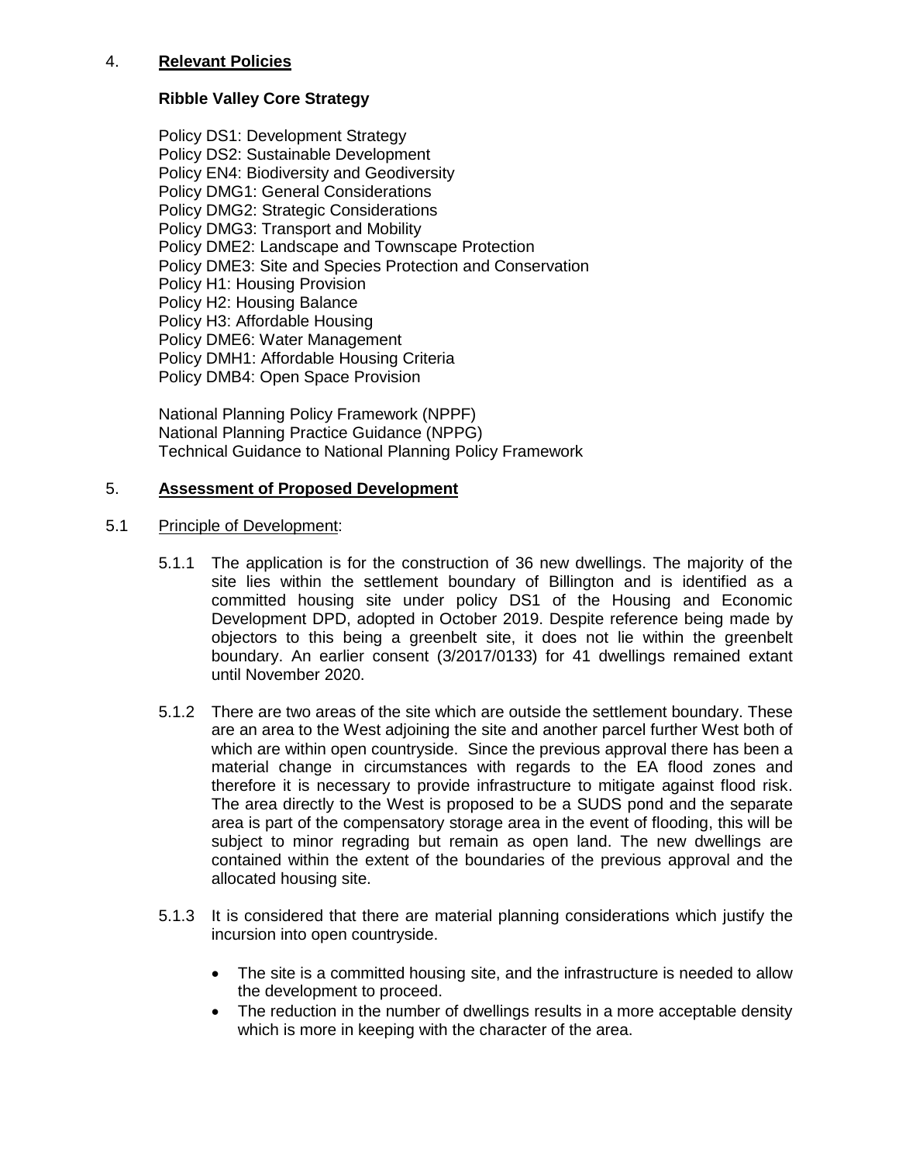## 4. **Relevant Policies**

## **Ribble Valley Core Strategy**

Policy DS1: Development Strategy Policy DS2: Sustainable Development Policy EN4: Biodiversity and Geodiversity Policy DMG1: General Considerations Policy DMG2: Strategic Considerations Policy DMG3: Transport and Mobility Policy DME2: Landscape and Townscape Protection Policy DME3: Site and Species Protection and Conservation Policy H1: Housing Provision Policy H2: Housing Balance Policy H3: Affordable Housing Policy DME6: Water Management Policy DMH1: Affordable Housing Criteria Policy DMB4: Open Space Provision

National Planning Policy Framework (NPPF) National Planning Practice Guidance (NPPG) Technical Guidance to National Planning Policy Framework

## 5. **Assessment of Proposed Development**

## 5.1 Principle of Development:

- 5.1.1 The application is for the construction of 36 new dwellings. The majority of the site lies within the settlement boundary of Billington and is identified as a committed housing site under policy DS1 of the Housing and Economic Development DPD, adopted in October 2019. Despite reference being made by objectors to this being a greenbelt site, it does not lie within the greenbelt boundary. An earlier consent (3/2017/0133) for 41 dwellings remained extant until November 2020.
- 5.1.2 There are two areas of the site which are outside the settlement boundary. These are an area to the West adjoining the site and another parcel further West both of which are within open countryside. Since the previous approval there has been a material change in circumstances with regards to the EA flood zones and therefore it is necessary to provide infrastructure to mitigate against flood risk. The area directly to the West is proposed to be a SUDS pond and the separate area is part of the compensatory storage area in the event of flooding, this will be subject to minor regrading but remain as open land. The new dwellings are contained within the extent of the boundaries of the previous approval and the allocated housing site.
- 5.1.3 It is considered that there are material planning considerations which justify the incursion into open countryside.
	- The site is a committed housing site, and the infrastructure is needed to allow the development to proceed.
	- The reduction in the number of dwellings results in a more acceptable density which is more in keeping with the character of the area.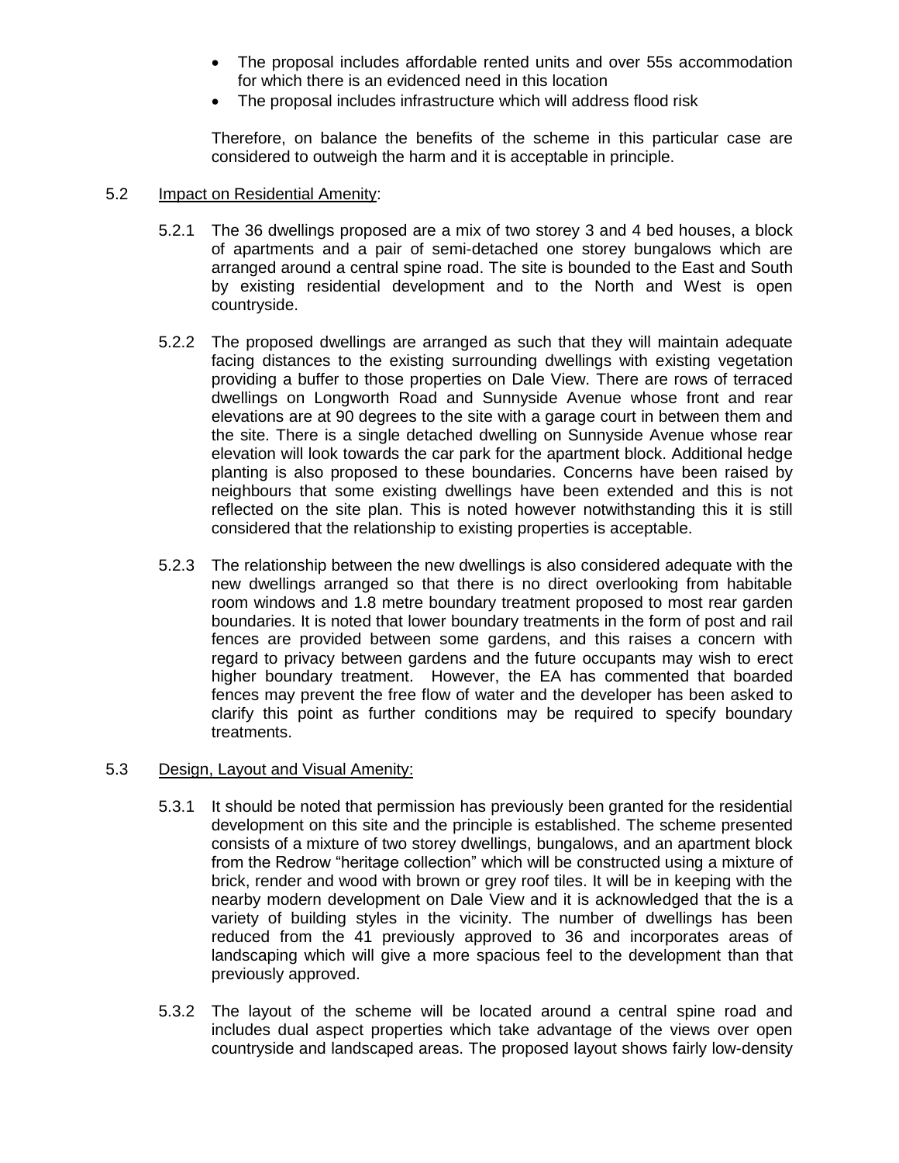- The proposal includes affordable rented units and over 55s accommodation for which there is an evidenced need in this location
- The proposal includes infrastructure which will address flood risk

Therefore, on balance the benefits of the scheme in this particular case are considered to outweigh the harm and it is acceptable in principle.

## 5.2 Impact on Residential Amenity:

- 5.2.1 The 36 dwellings proposed are a mix of two storey 3 and 4 bed houses, a block of apartments and a pair of semi-detached one storey bungalows which are arranged around a central spine road. The site is bounded to the East and South by existing residential development and to the North and West is open countryside.
- 5.2.2 The proposed dwellings are arranged as such that they will maintain adequate facing distances to the existing surrounding dwellings with existing vegetation providing a buffer to those properties on Dale View. There are rows of terraced dwellings on Longworth Road and Sunnyside Avenue whose front and rear elevations are at 90 degrees to the site with a garage court in between them and the site. There is a single detached dwelling on Sunnyside Avenue whose rear elevation will look towards the car park for the apartment block. Additional hedge planting is also proposed to these boundaries. Concerns have been raised by neighbours that some existing dwellings have been extended and this is not reflected on the site plan. This is noted however notwithstanding this it is still considered that the relationship to existing properties is acceptable.
- 5.2.3 The relationship between the new dwellings is also considered adequate with the new dwellings arranged so that there is no direct overlooking from habitable room windows and 1.8 metre boundary treatment proposed to most rear garden boundaries. It is noted that lower boundary treatments in the form of post and rail fences are provided between some gardens, and this raises a concern with regard to privacy between gardens and the future occupants may wish to erect higher boundary treatment. However, the EA has commented that boarded fences may prevent the free flow of water and the developer has been asked to clarify this point as further conditions may be required to specify boundary treatments.

## 5.3 Design, Layout and Visual Amenity:

- 5.3.1 It should be noted that permission has previously been granted for the residential development on this site and the principle is established. The scheme presented consists of a mixture of two storey dwellings, bungalows, and an apartment block from the Redrow "heritage collection" which will be constructed using a mixture of brick, render and wood with brown or grey roof tiles. It will be in keeping with the nearby modern development on Dale View and it is acknowledged that the is a variety of building styles in the vicinity. The number of dwellings has been reduced from the 41 previously approved to 36 and incorporates areas of landscaping which will give a more spacious feel to the development than that previously approved.
- 5.3.2 The layout of the scheme will be located around a central spine road and includes dual aspect properties which take advantage of the views over open countryside and landscaped areas. The proposed layout shows fairly low-density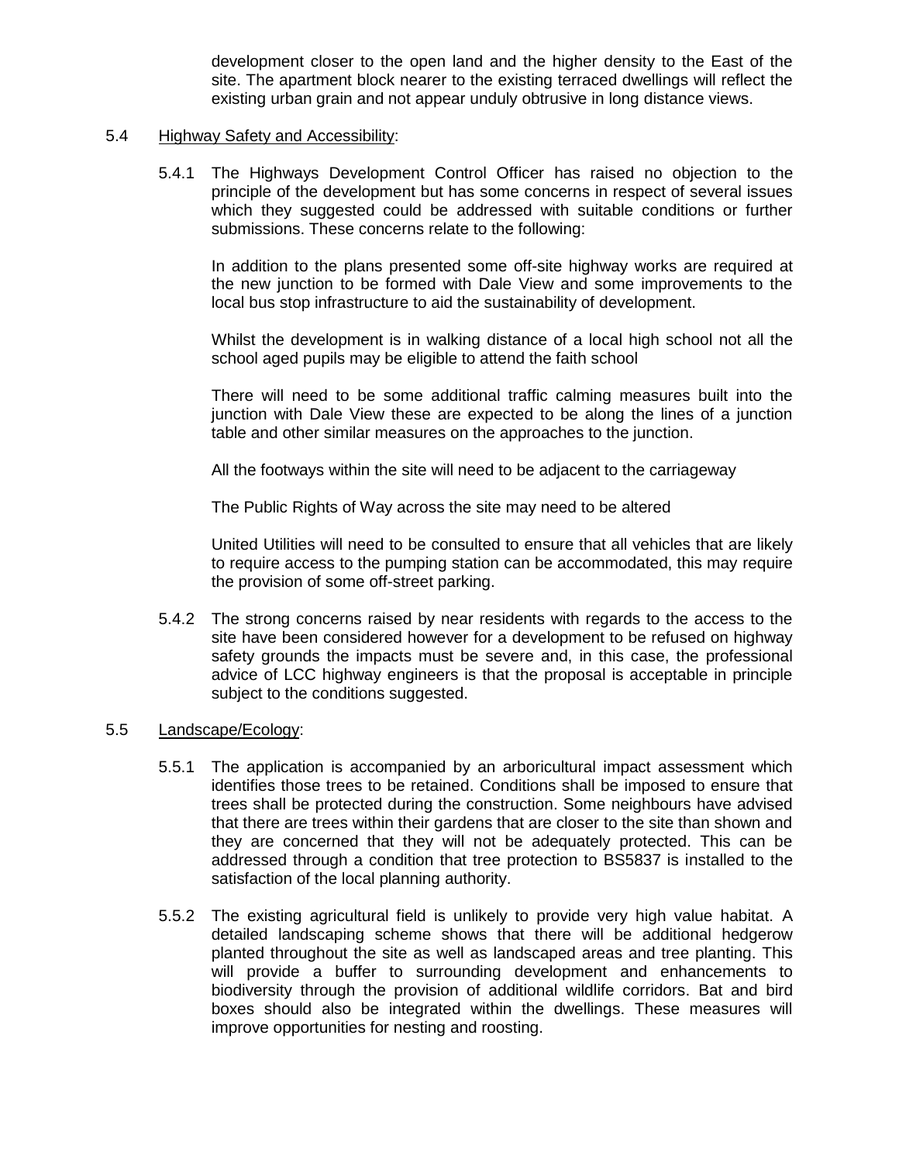development closer to the open land and the higher density to the East of the site. The apartment block nearer to the existing terraced dwellings will reflect the existing urban grain and not appear unduly obtrusive in long distance views.

#### 5.4 Highway Safety and Accessibility:

5.4.1 The Highways Development Control Officer has raised no objection to the principle of the development but has some concerns in respect of several issues which they suggested could be addressed with suitable conditions or further submissions. These concerns relate to the following:

In addition to the plans presented some off-site highway works are required at the new junction to be formed with Dale View and some improvements to the local bus stop infrastructure to aid the sustainability of development.

Whilst the development is in walking distance of a local high school not all the school aged pupils may be eligible to attend the faith school

There will need to be some additional traffic calming measures built into the iunction with Dale View these are expected to be along the lines of a junction table and other similar measures on the approaches to the junction.

All the footways within the site will need to be adjacent to the carriageway

The Public Rights of Way across the site may need to be altered

United Utilities will need to be consulted to ensure that all vehicles that are likely to require access to the pumping station can be accommodated, this may require the provision of some off-street parking.

5.4.2 The strong concerns raised by near residents with regards to the access to the site have been considered however for a development to be refused on highway safety grounds the impacts must be severe and, in this case, the professional advice of LCC highway engineers is that the proposal is acceptable in principle subject to the conditions suggested.

#### 5.5 Landscape/Ecology:

- 5.5.1 The application is accompanied by an arboricultural impact assessment which identifies those trees to be retained. Conditions shall be imposed to ensure that trees shall be protected during the construction. Some neighbours have advised that there are trees within their gardens that are closer to the site than shown and they are concerned that they will not be adequately protected. This can be addressed through a condition that tree protection to BS5837 is installed to the satisfaction of the local planning authority.
- 5.5.2 The existing agricultural field is unlikely to provide very high value habitat. A detailed landscaping scheme shows that there will be additional hedgerow planted throughout the site as well as landscaped areas and tree planting. This will provide a buffer to surrounding development and enhancements to biodiversity through the provision of additional wildlife corridors. Bat and bird boxes should also be integrated within the dwellings. These measures will improve opportunities for nesting and roosting.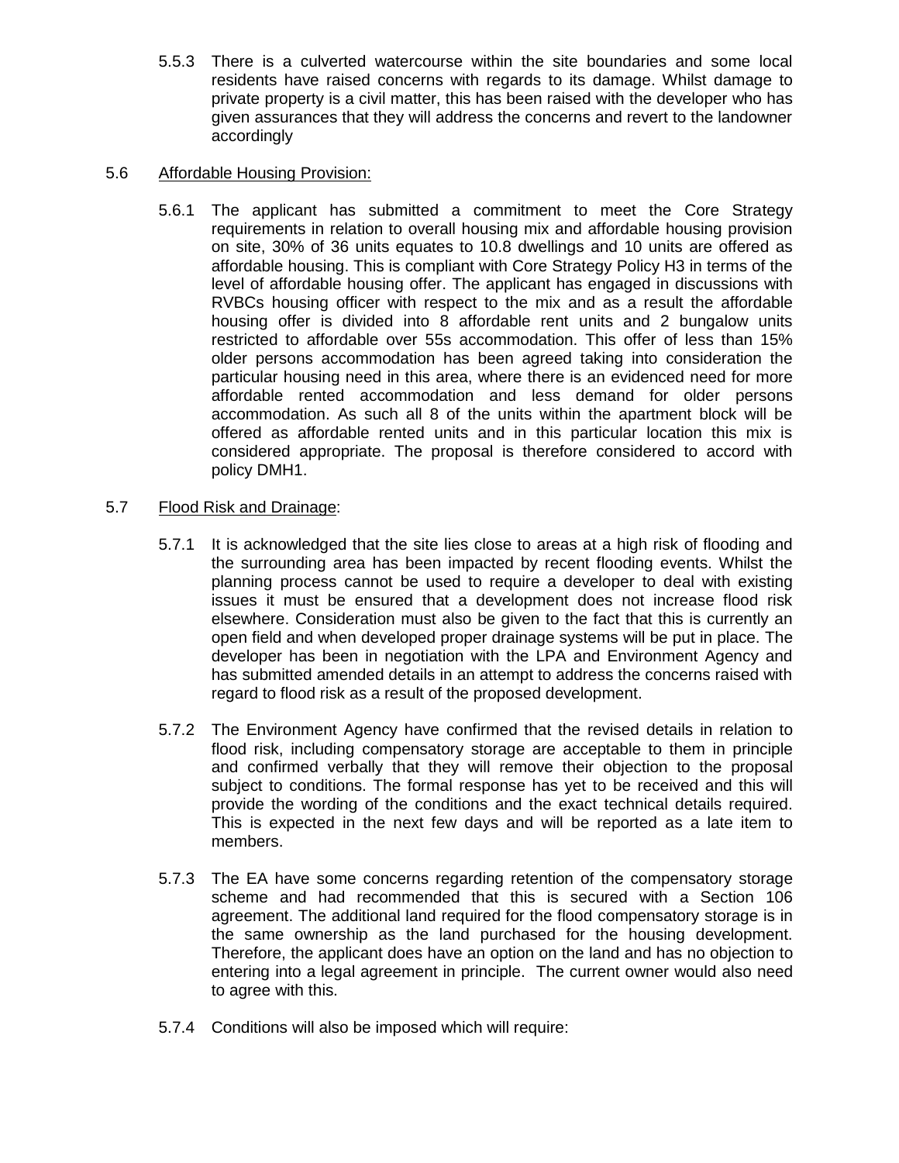5.5.3 There is a culverted watercourse within the site boundaries and some local residents have raised concerns with regards to its damage. Whilst damage to private property is a civil matter, this has been raised with the developer who has given assurances that they will address the concerns and revert to the landowner accordingly

## 5.6 Affordable Housing Provision:

5.6.1 The applicant has submitted a commitment to meet the Core Strategy requirements in relation to overall housing mix and affordable housing provision on site, 30% of 36 units equates to 10.8 dwellings and 10 units are offered as affordable housing. This is compliant with Core Strategy Policy H3 in terms of the level of affordable housing offer. The applicant has engaged in discussions with RVBCs housing officer with respect to the mix and as a result the affordable housing offer is divided into 8 affordable rent units and 2 bungalow units restricted to affordable over 55s accommodation. This offer of less than 15% older persons accommodation has been agreed taking into consideration the particular housing need in this area, where there is an evidenced need for more affordable rented accommodation and less demand for older persons accommodation. As such all 8 of the units within the apartment block will be offered as affordable rented units and in this particular location this mix is considered appropriate. The proposal is therefore considered to accord with policy DMH1.

## 5.7 Flood Risk and Drainage:

- 5.7.1 It is acknowledged that the site lies close to areas at a high risk of flooding and the surrounding area has been impacted by recent flooding events. Whilst the planning process cannot be used to require a developer to deal with existing issues it must be ensured that a development does not increase flood risk elsewhere. Consideration must also be given to the fact that this is currently an open field and when developed proper drainage systems will be put in place. The developer has been in negotiation with the LPA and Environment Agency and has submitted amended details in an attempt to address the concerns raised with regard to flood risk as a result of the proposed development.
- 5.7.2 The Environment Agency have confirmed that the revised details in relation to flood risk, including compensatory storage are acceptable to them in principle and confirmed verbally that they will remove their objection to the proposal subject to conditions. The formal response has yet to be received and this will provide the wording of the conditions and the exact technical details required. This is expected in the next few days and will be reported as a late item to members.
- 5.7.3 The EA have some concerns regarding retention of the compensatory storage scheme and had recommended that this is secured with a Section 106 agreement. The additional land required for the flood compensatory storage is in the same ownership as the land purchased for the housing development. Therefore, the applicant does have an option on the land and has no objection to entering into a legal agreement in principle. The current owner would also need to agree with this.
- 5.7.4 Conditions will also be imposed which will require: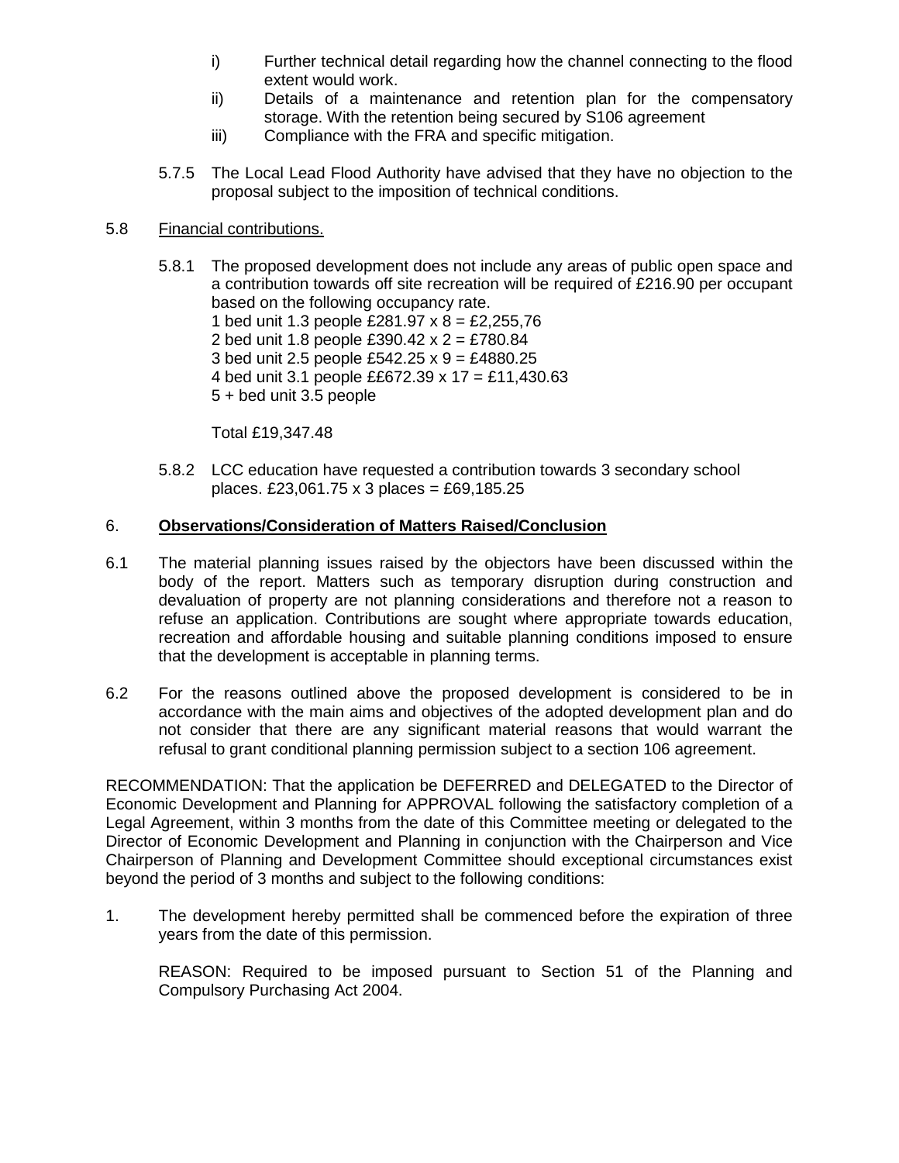- i) Further technical detail regarding how the channel connecting to the flood extent would work.
- ii) Details of a maintenance and retention plan for the compensatory storage. With the retention being secured by S106 agreement
- iii) Compliance with the FRA and specific mitigation.
- 5.7.5 The Local Lead Flood Authority have advised that they have no objection to the proposal subject to the imposition of technical conditions.

## 5.8 Financial contributions.

5.8.1 The proposed development does not include any areas of public open space and a contribution towards off site recreation will be required of £216.90 per occupant based on the following occupancy rate. 1 bed unit 1.3 people £281.97 x 8 = £2,255,76 2 bed unit 1.8 people £390.42 x 2 = £780.84 3 bed unit 2.5 people £542.25 x 9 = £4880.25 4 bed unit 3.1 people ££672.39 x 17 = £11,430.63 5 + bed unit 3.5 people

Total £19,347.48

5.8.2 LCC education have requested a contribution towards 3 secondary school places. £23,061.75 x 3 places = £69,185.25

## 6. **Observations/Consideration of Matters Raised/Conclusion**

- 6.1 The material planning issues raised by the objectors have been discussed within the body of the report. Matters such as temporary disruption during construction and devaluation of property are not planning considerations and therefore not a reason to refuse an application. Contributions are sought where appropriate towards education, recreation and affordable housing and suitable planning conditions imposed to ensure that the development is acceptable in planning terms.
- 6.2 For the reasons outlined above the proposed development is considered to be in accordance with the main aims and objectives of the adopted development plan and do not consider that there are any significant material reasons that would warrant the refusal to grant conditional planning permission subject to a section 106 agreement.

RECOMMENDATION: That the application be DEFERRED and DELEGATED to the Director of Economic Development and Planning for APPROVAL following the satisfactory completion of a Legal Agreement, within 3 months from the date of this Committee meeting or delegated to the Director of Economic Development and Planning in conjunction with the Chairperson and Vice Chairperson of Planning and Development Committee should exceptional circumstances exist beyond the period of 3 months and subject to the following conditions:

1. The development hereby permitted shall be commenced before the expiration of three years from the date of this permission.

REASON: Required to be imposed pursuant to Section 51 of the Planning and Compulsory Purchasing Act 2004.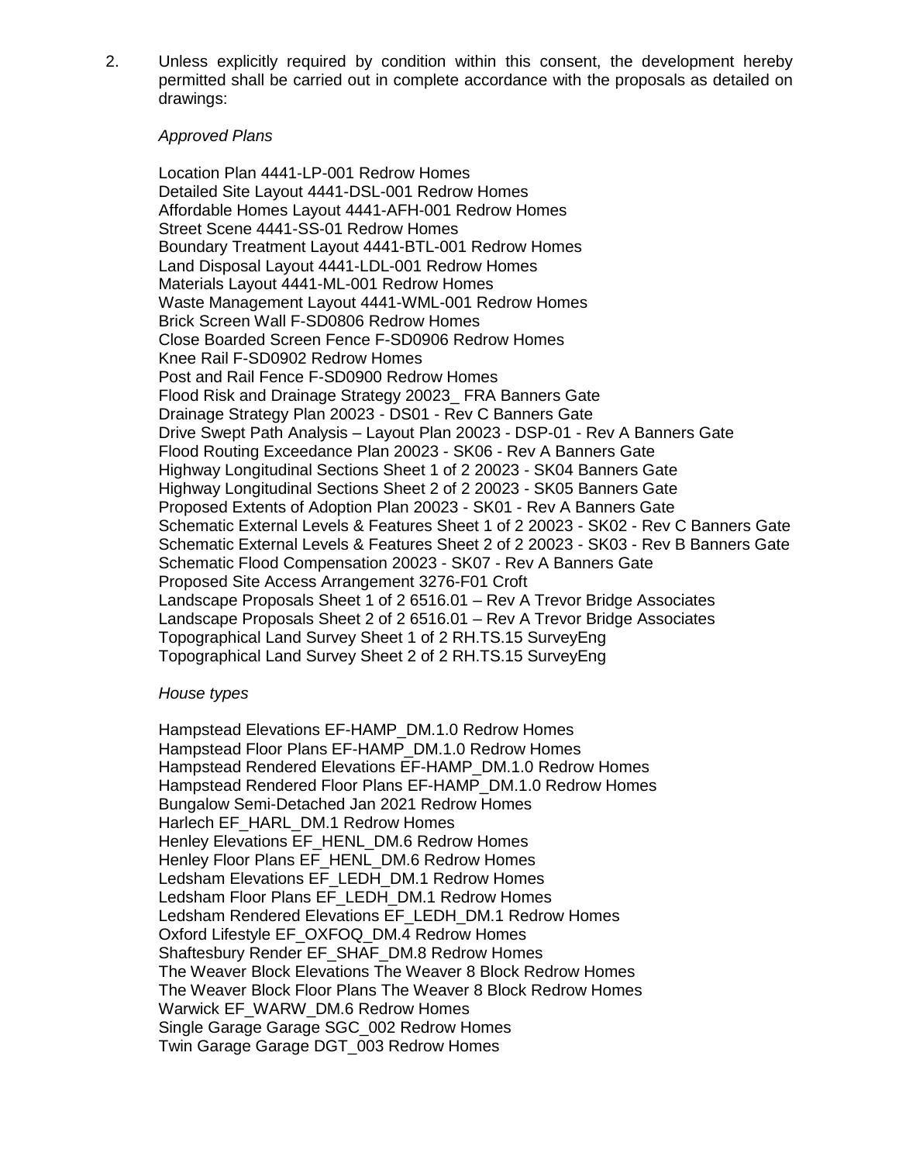2. Unless explicitly required by condition within this consent, the development hereby permitted shall be carried out in complete accordance with the proposals as detailed on drawings:

#### *Approved Plans*

Location Plan 4441-LP-001 Redrow Homes Detailed Site Layout 4441-DSL-001 Redrow Homes Affordable Homes Layout 4441-AFH-001 Redrow Homes Street Scene 4441-SS-01 Redrow Homes Boundary Treatment Layout 4441-BTL-001 Redrow Homes Land Disposal Layout 4441-LDL-001 Redrow Homes Materials Layout 4441-ML-001 Redrow Homes Waste Management Layout 4441-WML-001 Redrow Homes Brick Screen Wall F-SD0806 Redrow Homes Close Boarded Screen Fence F-SD0906 Redrow Homes Knee Rail F-SD0902 Redrow Homes Post and Rail Fence F-SD0900 Redrow Homes Flood Risk and Drainage Strategy 20023\_ FRA Banners Gate Drainage Strategy Plan 20023 - DS01 - Rev C Banners Gate Drive Swept Path Analysis – Layout Plan 20023 - DSP-01 - Rev A Banners Gate Flood Routing Exceedance Plan 20023 - SK06 - Rev A Banners Gate Highway Longitudinal Sections Sheet 1 of 2 20023 - SK04 Banners Gate Highway Longitudinal Sections Sheet 2 of 2 20023 - SK05 Banners Gate Proposed Extents of Adoption Plan 20023 - SK01 - Rev A Banners Gate Schematic External Levels & Features Sheet 1 of 2 20023 - SK02 - Rev C Banners Gate Schematic External Levels & Features Sheet 2 of 2 20023 - SK03 - Rev B Banners Gate Schematic Flood Compensation 20023 - SK07 - Rev A Banners Gate Proposed Site Access Arrangement 3276-F01 Croft Landscape Proposals Sheet 1 of 2 6516.01 – Rev A Trevor Bridge Associates Landscape Proposals Sheet 2 of 2 6516.01 – Rev A Trevor Bridge Associates Topographical Land Survey Sheet 1 of 2 RH.TS.15 SurveyEng Topographical Land Survey Sheet 2 of 2 RH.TS.15 SurveyEng

#### *House types*

Hampstead Elevations EF-HAMP\_DM.1.0 Redrow Homes Hampstead Floor Plans EF-HAMP\_DM.1.0 Redrow Homes Hampstead Rendered Elevations EF-HAMP\_DM.1.0 Redrow Homes Hampstead Rendered Floor Plans EF-HAMP\_DM.1.0 Redrow Homes Bungalow Semi-Detached Jan 2021 Redrow Homes Harlech EF\_HARL\_DM.1 Redrow Homes Henley Elevations EF\_HENL\_DM.6 Redrow Homes Henley Floor Plans EF\_HENL\_DM.6 Redrow Homes Ledsham Elevations EF\_LEDH\_DM.1 Redrow Homes Ledsham Floor Plans EF\_LEDH\_DM.1 Redrow Homes Ledsham Rendered Elevations EF\_LEDH\_DM.1 Redrow Homes Oxford Lifestyle EF\_OXFOQ\_DM.4 Redrow Homes Shaftesbury Render EF\_SHAF\_DM.8 Redrow Homes The Weaver Block Elevations The Weaver 8 Block Redrow Homes The Weaver Block Floor Plans The Weaver 8 Block Redrow Homes Warwick EF\_WARW\_DM.6 Redrow Homes Single Garage Garage SGC\_002 Redrow Homes Twin Garage Garage DGT\_003 Redrow Homes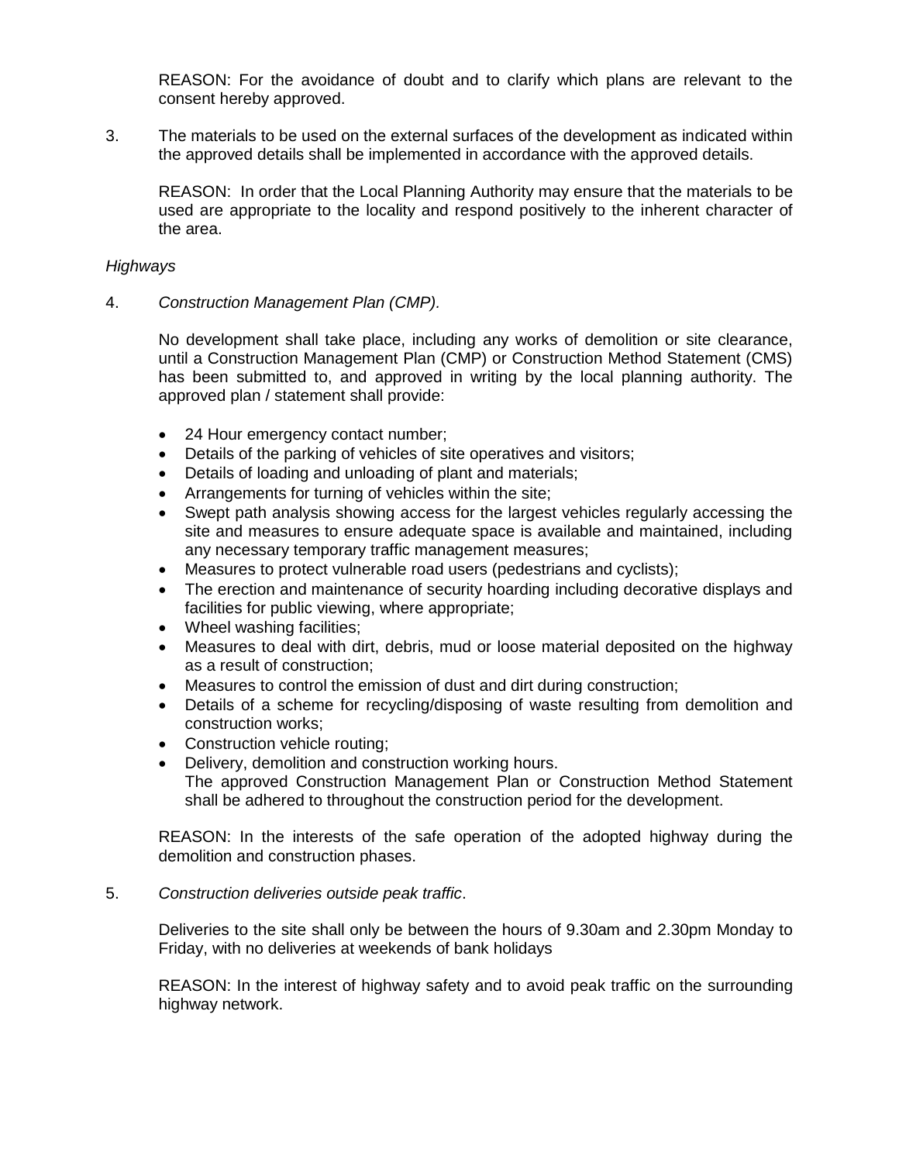REASON: For the avoidance of doubt and to clarify which plans are relevant to the consent hereby approved.

3. The materials to be used on the external surfaces of the development as indicated within the approved details shall be implemented in accordance with the approved details.

REASON: In order that the Local Planning Authority may ensure that the materials to be used are appropriate to the locality and respond positively to the inherent character of the area.

## *Highways*

4. *Construction Management Plan (CMP).*

No development shall take place, including any works of demolition or site clearance, until a Construction Management Plan (CMP) or Construction Method Statement (CMS) has been submitted to, and approved in writing by the local planning authority. The approved plan / statement shall provide:

- 24 Hour emergency contact number;
- Details of the parking of vehicles of site operatives and visitors;
- Details of loading and unloading of plant and materials;
- Arrangements for turning of vehicles within the site;
- Swept path analysis showing access for the largest vehicles regularly accessing the site and measures to ensure adequate space is available and maintained, including any necessary temporary traffic management measures;
- Measures to protect vulnerable road users (pedestrians and cyclists);
- The erection and maintenance of security hoarding including decorative displays and facilities for public viewing, where appropriate;
- Wheel washing facilities;
- Measures to deal with dirt, debris, mud or loose material deposited on the highway as a result of construction;
- Measures to control the emission of dust and dirt during construction;
- Details of a scheme for recycling/disposing of waste resulting from demolition and construction works;
- Construction vehicle routing;
- Delivery, demolition and construction working hours. The approved Construction Management Plan or Construction Method Statement shall be adhered to throughout the construction period for the development.

REASON: In the interests of the safe operation of the adopted highway during the demolition and construction phases.

#### 5. *Construction deliveries outside peak traffic*.

Deliveries to the site shall only be between the hours of 9.30am and 2.30pm Monday to Friday, with no deliveries at weekends of bank holidays

REASON: In the interest of highway safety and to avoid peak traffic on the surrounding highway network.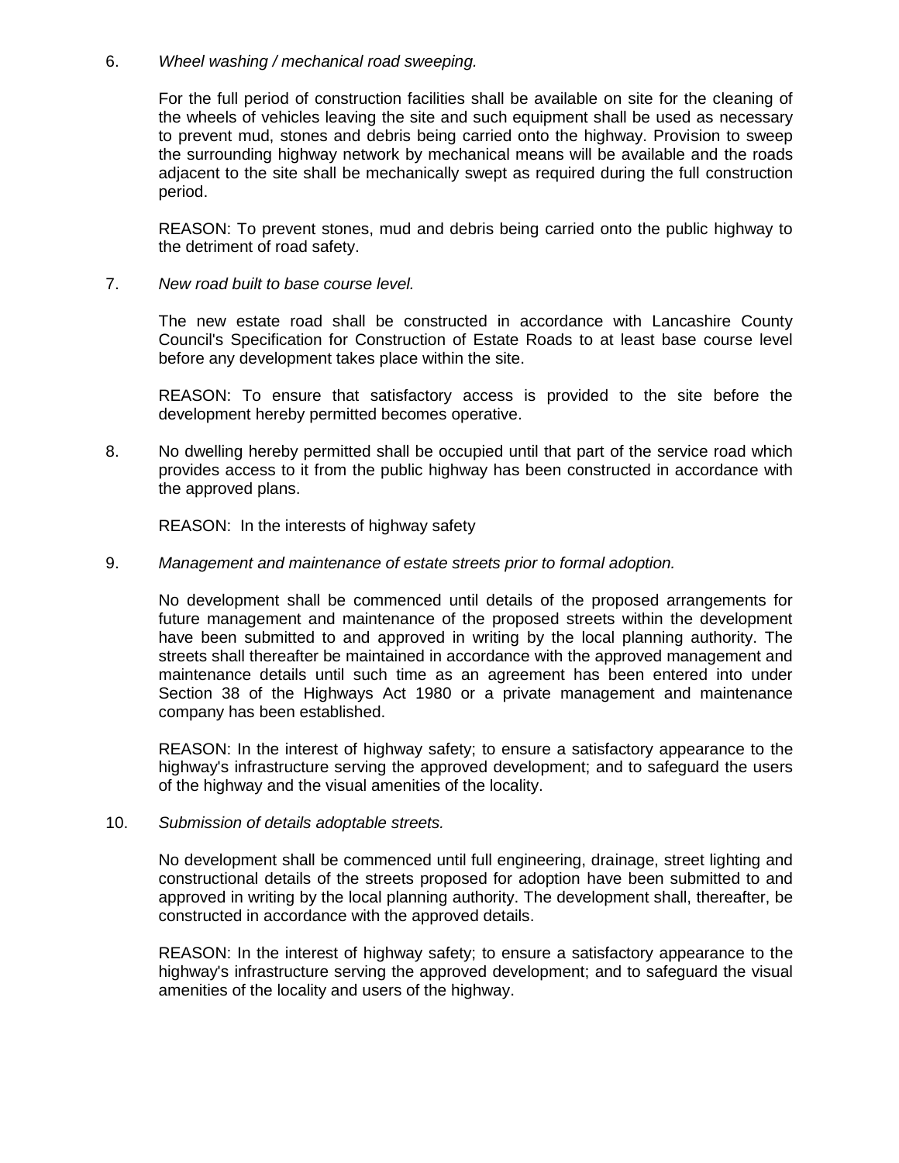### 6. *Wheel washing / mechanical road sweeping.*

For the full period of construction facilities shall be available on site for the cleaning of the wheels of vehicles leaving the site and such equipment shall be used as necessary to prevent mud, stones and debris being carried onto the highway. Provision to sweep the surrounding highway network by mechanical means will be available and the roads adjacent to the site shall be mechanically swept as required during the full construction period.

REASON: To prevent stones, mud and debris being carried onto the public highway to the detriment of road safety.

7. *New road built to base course level.*

The new estate road shall be constructed in accordance with Lancashire County Council's Specification for Construction of Estate Roads to at least base course level before any development takes place within the site.

REASON: To ensure that satisfactory access is provided to the site before the development hereby permitted becomes operative.

8. No dwelling hereby permitted shall be occupied until that part of the service road which provides access to it from the public highway has been constructed in accordance with the approved plans.

REASON: In the interests of highway safety

9. *Management and maintenance of estate streets prior to formal adoption.*

No development shall be commenced until details of the proposed arrangements for future management and maintenance of the proposed streets within the development have been submitted to and approved in writing by the local planning authority. The streets shall thereafter be maintained in accordance with the approved management and maintenance details until such time as an agreement has been entered into under Section 38 of the Highways Act 1980 or a private management and maintenance company has been established.

REASON: In the interest of highway safety; to ensure a satisfactory appearance to the highway's infrastructure serving the approved development; and to safeguard the users of the highway and the visual amenities of the locality.

10. *Submission of details adoptable streets.*

No development shall be commenced until full engineering, drainage, street lighting and constructional details of the streets proposed for adoption have been submitted to and approved in writing by the local planning authority. The development shall, thereafter, be constructed in accordance with the approved details.

REASON: In the interest of highway safety; to ensure a satisfactory appearance to the highway's infrastructure serving the approved development; and to safeguard the visual amenities of the locality and users of the highway.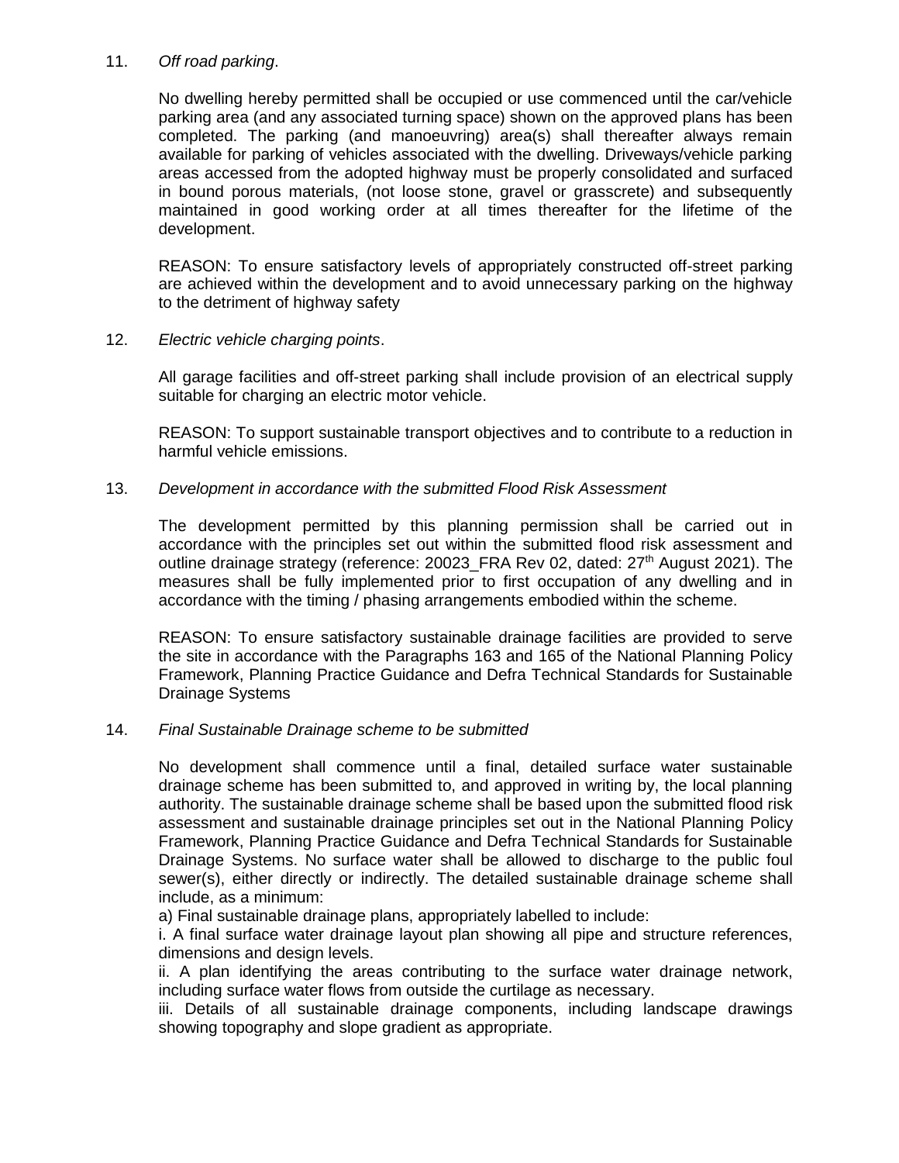### 11. *Off road parking*.

No dwelling hereby permitted shall be occupied or use commenced until the car/vehicle parking area (and any associated turning space) shown on the approved plans has been completed. The parking (and manoeuvring) area(s) shall thereafter always remain available for parking of vehicles associated with the dwelling. Driveways/vehicle parking areas accessed from the adopted highway must be properly consolidated and surfaced in bound porous materials, (not loose stone, gravel or grasscrete) and subsequently maintained in good working order at all times thereafter for the lifetime of the development.

REASON: To ensure satisfactory levels of appropriately constructed off-street parking are achieved within the development and to avoid unnecessary parking on the highway to the detriment of highway safety

12. *Electric vehicle charging points*.

All garage facilities and off-street parking shall include provision of an electrical supply suitable for charging an electric motor vehicle.

REASON: To support sustainable transport objectives and to contribute to a reduction in harmful vehicle emissions.

## 13. *Development in accordance with the submitted Flood Risk Assessment*

The development permitted by this planning permission shall be carried out in accordance with the principles set out within the submitted flood risk assessment and outline drainage strategy (reference: 20023\_FRA Rev 02, dated: 27<sup>th</sup> August 2021). The measures shall be fully implemented prior to first occupation of any dwelling and in accordance with the timing / phasing arrangements embodied within the scheme.

REASON: To ensure satisfactory sustainable drainage facilities are provided to serve the site in accordance with the Paragraphs 163 and 165 of the National Planning Policy Framework, Planning Practice Guidance and Defra Technical Standards for Sustainable Drainage Systems

#### 14. *Final Sustainable Drainage scheme to be submitted*

No development shall commence until a final, detailed surface water sustainable drainage scheme has been submitted to, and approved in writing by, the local planning authority. The sustainable drainage scheme shall be based upon the submitted flood risk assessment and sustainable drainage principles set out in the National Planning Policy Framework, Planning Practice Guidance and Defra Technical Standards for Sustainable Drainage Systems. No surface water shall be allowed to discharge to the public foul sewer(s), either directly or indirectly. The detailed sustainable drainage scheme shall include, as a minimum:

a) Final sustainable drainage plans, appropriately labelled to include:

i. A final surface water drainage layout plan showing all pipe and structure references, dimensions and design levels.

ii. A plan identifying the areas contributing to the surface water drainage network, including surface water flows from outside the curtilage as necessary.

iii. Details of all sustainable drainage components, including landscape drawings showing topography and slope gradient as appropriate.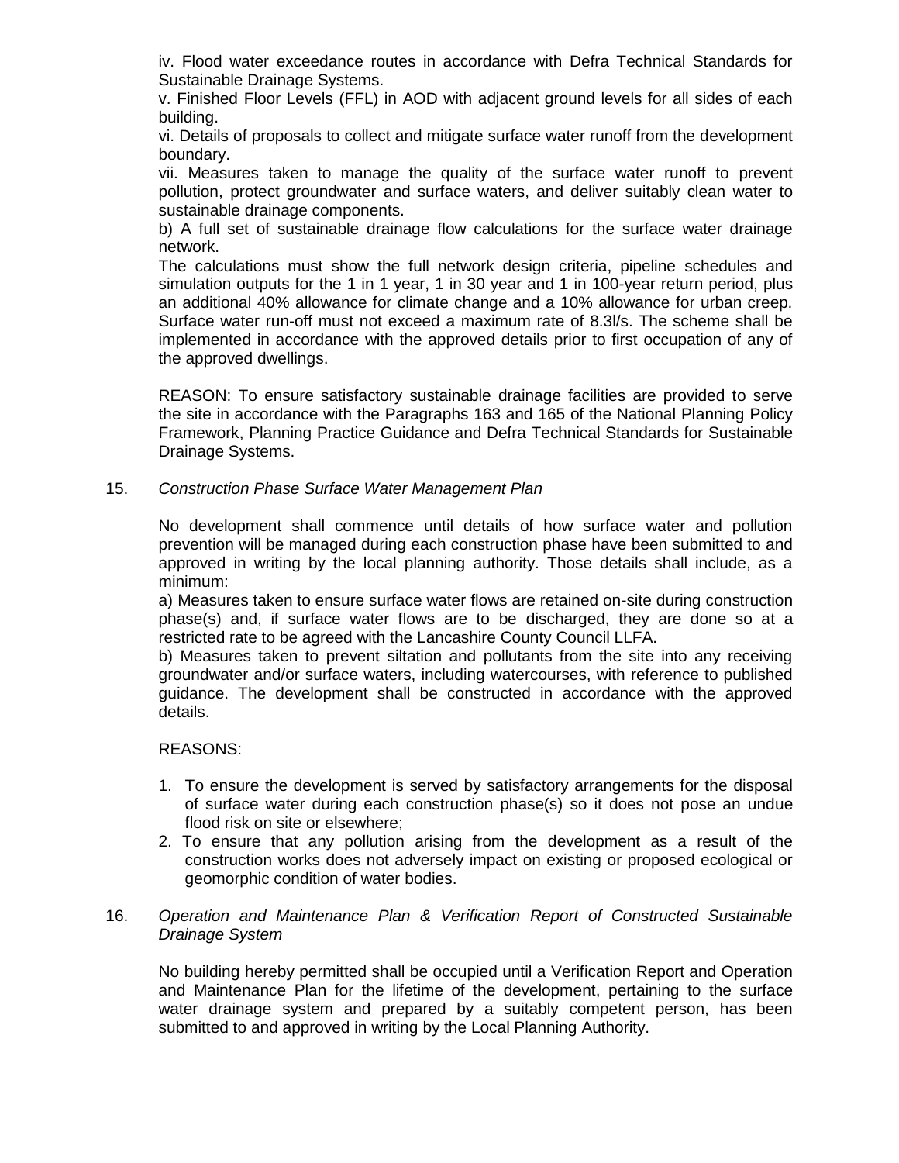iv. Flood water exceedance routes in accordance with Defra Technical Standards for Sustainable Drainage Systems.

v. Finished Floor Levels (FFL) in AOD with adjacent ground levels for all sides of each building.

vi. Details of proposals to collect and mitigate surface water runoff from the development boundary.

vii. Measures taken to manage the quality of the surface water runoff to prevent pollution, protect groundwater and surface waters, and deliver suitably clean water to sustainable drainage components.

b) A full set of sustainable drainage flow calculations for the surface water drainage network.

The calculations must show the full network design criteria, pipeline schedules and simulation outputs for the 1 in 1 year, 1 in 30 year and 1 in 100-year return period, plus an additional 40% allowance for climate change and a 10% allowance for urban creep. Surface water run-off must not exceed a maximum rate of 8.3l/s. The scheme shall be implemented in accordance with the approved details prior to first occupation of any of the approved dwellings.

REASON: To ensure satisfactory sustainable drainage facilities are provided to serve the site in accordance with the Paragraphs 163 and 165 of the National Planning Policy Framework, Planning Practice Guidance and Defra Technical Standards for Sustainable Drainage Systems.

## 15. *Construction Phase Surface Water Management Plan*

No development shall commence until details of how surface water and pollution prevention will be managed during each construction phase have been submitted to and approved in writing by the local planning authority. Those details shall include, as a minimum:

a) Measures taken to ensure surface water flows are retained on-site during construction phase(s) and, if surface water flows are to be discharged, they are done so at a restricted rate to be agreed with the Lancashire County Council LLFA.

b) Measures taken to prevent siltation and pollutants from the site into any receiving groundwater and/or surface waters, including watercourses, with reference to published guidance. The development shall be constructed in accordance with the approved details.

REASONS:

- 1. To ensure the development is served by satisfactory arrangements for the disposal of surface water during each construction phase(s) so it does not pose an undue flood risk on site or elsewhere;
- 2. To ensure that any pollution arising from the development as a result of the construction works does not adversely impact on existing or proposed ecological or geomorphic condition of water bodies.

## 16. *Operation and Maintenance Plan & Verification Report of Constructed Sustainable Drainage System*

No building hereby permitted shall be occupied until a Verification Report and Operation and Maintenance Plan for the lifetime of the development, pertaining to the surface water drainage system and prepared by a suitably competent person, has been submitted to and approved in writing by the Local Planning Authority.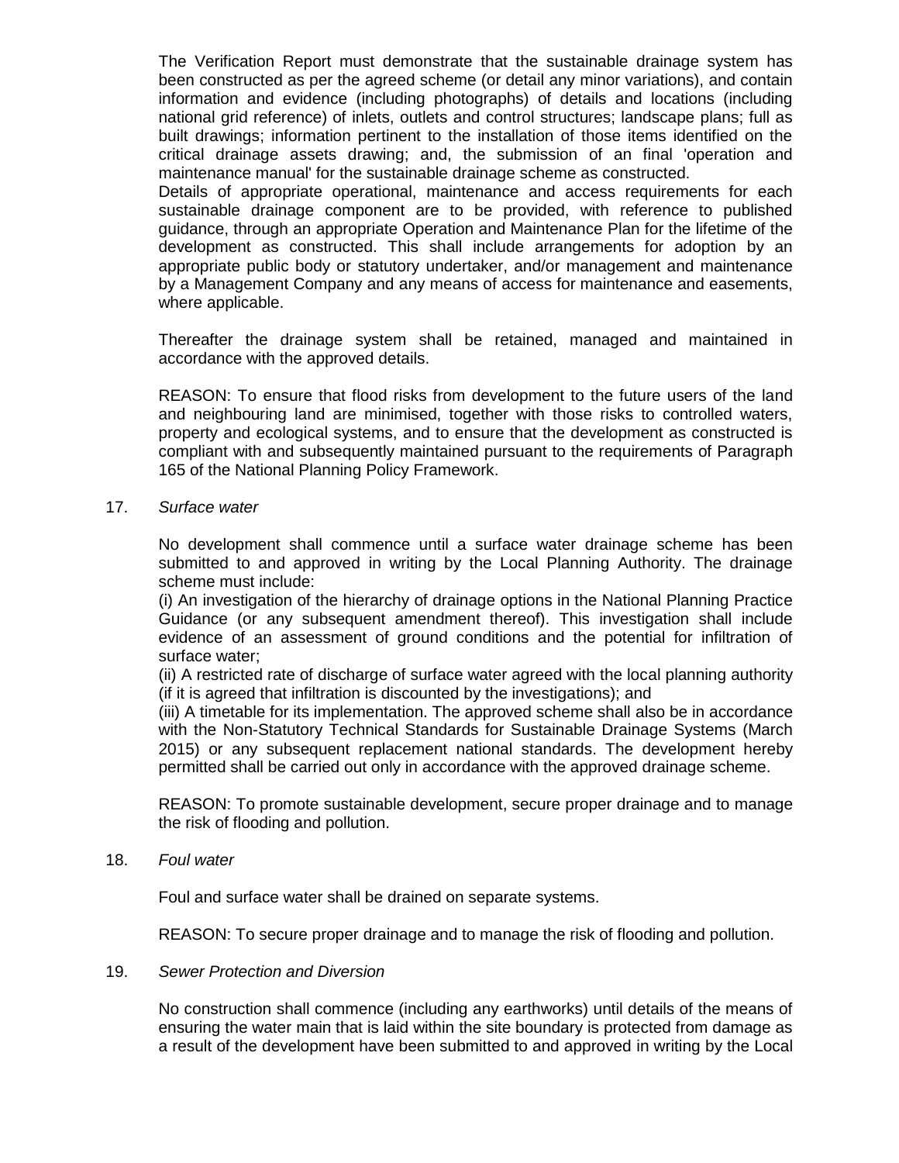The Verification Report must demonstrate that the sustainable drainage system has been constructed as per the agreed scheme (or detail any minor variations), and contain information and evidence (including photographs) of details and locations (including national grid reference) of inlets, outlets and control structures; landscape plans; full as built drawings; information pertinent to the installation of those items identified on the critical drainage assets drawing; and, the submission of an final 'operation and maintenance manual' for the sustainable drainage scheme as constructed.

Details of appropriate operational, maintenance and access requirements for each sustainable drainage component are to be provided, with reference to published guidance, through an appropriate Operation and Maintenance Plan for the lifetime of the development as constructed. This shall include arrangements for adoption by an appropriate public body or statutory undertaker, and/or management and maintenance by a Management Company and any means of access for maintenance and easements, where applicable.

Thereafter the drainage system shall be retained, managed and maintained in accordance with the approved details.

REASON: To ensure that flood risks from development to the future users of the land and neighbouring land are minimised, together with those risks to controlled waters, property and ecological systems, and to ensure that the development as constructed is compliant with and subsequently maintained pursuant to the requirements of Paragraph 165 of the National Planning Policy Framework.

#### 17. *Surface water*

No development shall commence until a surface water drainage scheme has been submitted to and approved in writing by the Local Planning Authority. The drainage scheme must include:

(i) An investigation of the hierarchy of drainage options in the National Planning Practice Guidance (or any subsequent amendment thereof). This investigation shall include evidence of an assessment of ground conditions and the potential for infiltration of surface water;

(ii) A restricted rate of discharge of surface water agreed with the local planning authority (if it is agreed that infiltration is discounted by the investigations); and

(iii) A timetable for its implementation. The approved scheme shall also be in accordance with the Non-Statutory Technical Standards for Sustainable Drainage Systems (March 2015) or any subsequent replacement national standards. The development hereby permitted shall be carried out only in accordance with the approved drainage scheme.

REASON: To promote sustainable development, secure proper drainage and to manage the risk of flooding and pollution.

#### 18. *Foul water*

Foul and surface water shall be drained on separate systems.

REASON: To secure proper drainage and to manage the risk of flooding and pollution.

#### 19. *Sewer Protection and Diversion*

No construction shall commence (including any earthworks) until details of the means of ensuring the water main that is laid within the site boundary is protected from damage as a result of the development have been submitted to and approved in writing by the Local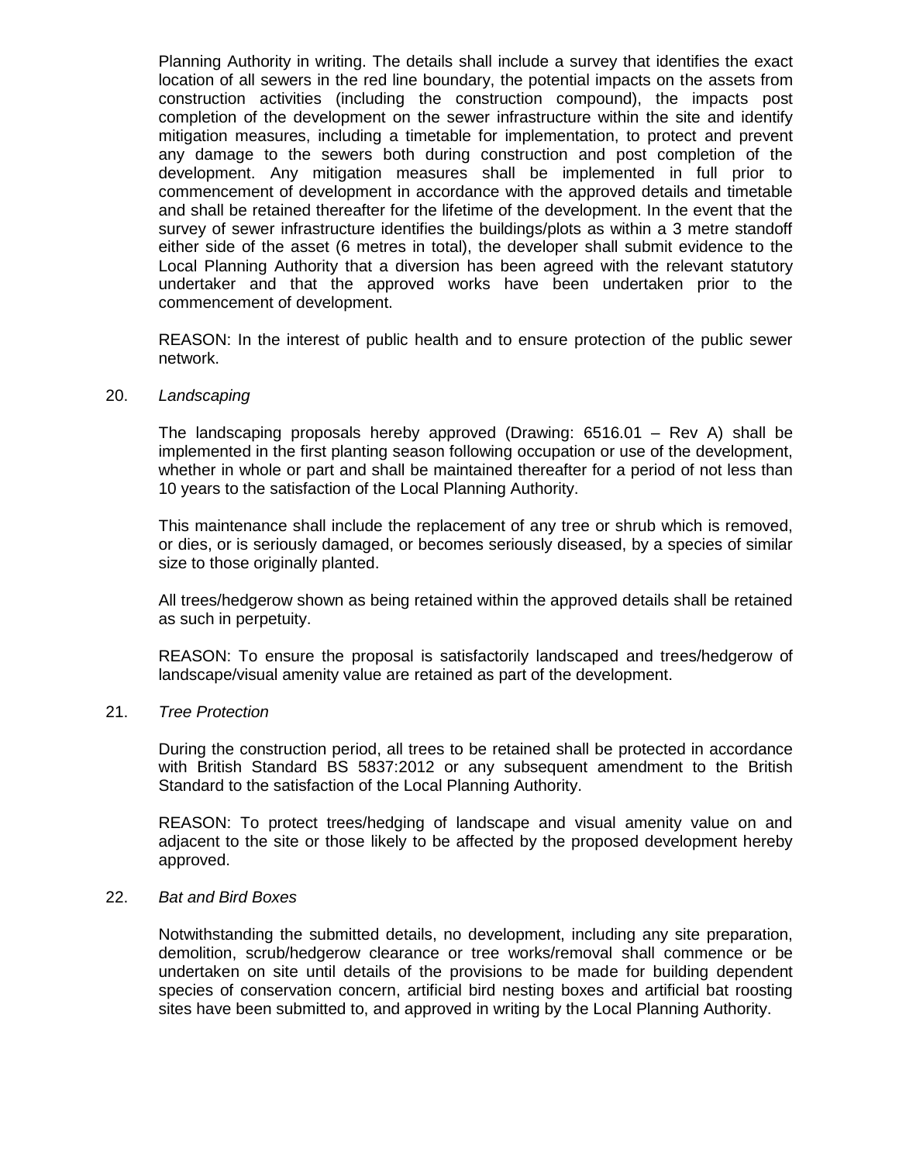Planning Authority in writing. The details shall include a survey that identifies the exact location of all sewers in the red line boundary, the potential impacts on the assets from construction activities (including the construction compound), the impacts post completion of the development on the sewer infrastructure within the site and identify mitigation measures, including a timetable for implementation, to protect and prevent any damage to the sewers both during construction and post completion of the development. Any mitigation measures shall be implemented in full prior to commencement of development in accordance with the approved details and timetable and shall be retained thereafter for the lifetime of the development. In the event that the survey of sewer infrastructure identifies the buildings/plots as within a 3 metre standoff either side of the asset (6 metres in total), the developer shall submit evidence to the Local Planning Authority that a diversion has been agreed with the relevant statutory undertaker and that the approved works have been undertaken prior to the commencement of development.

REASON: In the interest of public health and to ensure protection of the public sewer network.

#### 20. *Landscaping*

The landscaping proposals hereby approved (Drawing: 6516.01 – Rev A) shall be implemented in the first planting season following occupation or use of the development, whether in whole or part and shall be maintained thereafter for a period of not less than 10 years to the satisfaction of the Local Planning Authority.

This maintenance shall include the replacement of any tree or shrub which is removed, or dies, or is seriously damaged, or becomes seriously diseased, by a species of similar size to those originally planted.

All trees/hedgerow shown as being retained within the approved details shall be retained as such in perpetuity.

REASON: To ensure the proposal is satisfactorily landscaped and trees/hedgerow of landscape/visual amenity value are retained as part of the development.

## 21. *Tree Protection*

During the construction period, all trees to be retained shall be protected in accordance with British Standard BS 5837:2012 or any subsequent amendment to the British Standard to the satisfaction of the Local Planning Authority.

REASON: To protect trees/hedging of landscape and visual amenity value on and adjacent to the site or those likely to be affected by the proposed development hereby approved.

### 22. *Bat and Bird Boxes*

Notwithstanding the submitted details, no development, including any site preparation, demolition, scrub/hedgerow clearance or tree works/removal shall commence or be undertaken on site until details of the provisions to be made for building dependent species of conservation concern, artificial bird nesting boxes and artificial bat roosting sites have been submitted to, and approved in writing by the Local Planning Authority.